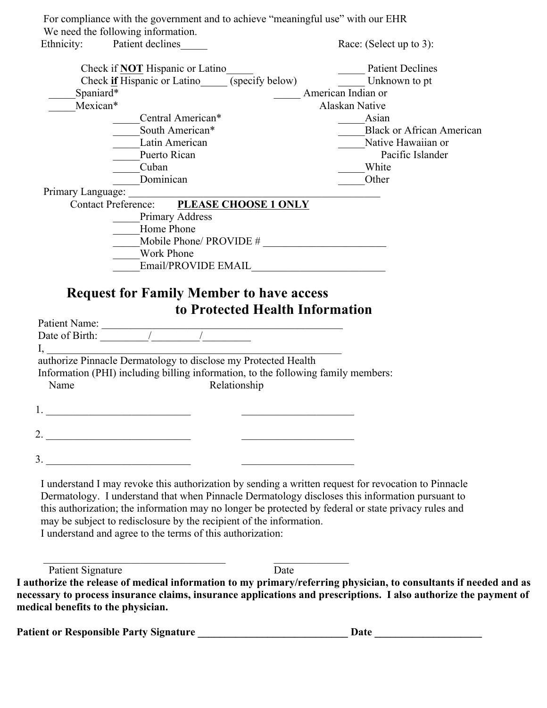For compliance with the government and to achieve "meaningful use" with our EHR We need the following information.

Ethnicity: Patient declines Race: (Select up to 3): Check if **NOT** Hispanic or Latino<br>Check if Hispanic or Latino<br>(specify below)<br>Unknown to pt Check **if** Hispanic or Latino (specify below) Spaniard\* **American Indian or** Mexican\* Alaskan Native Central American\* Asian South American\* **Example 2.5** Black or African American Latin American **Native Hawaiian or** Puerto Rican Pacific Islander Let Up to the Up of the Up to the Up to the Up to the Up to the Up to the Up to the Up to the Up to the Up to the Up to the Up to the Up to the Up to the Up to the Up to the Up to the Up to the Up to the Up to the Up to th Dominican **Dominican** Other Primary Language: Contact Preference: **PLEASE CHOOSE 1 ONLY** Primary Address Home Phone  $\overline{\phantom{a}}$  Mobile Phone/ PROVIDE #  $\overline{\phantom{a}}$  \_\_\_\_\_Work Phone \_\_\_\_\_Email/PROVIDE EMAIL\_\_\_\_\_\_\_\_\_\_\_\_\_\_\_\_\_\_\_\_\_\_\_\_\_ **Request for Family Member to have access to Protected Health Information** Patient Name: \_\_\_\_\_\_\_\_\_\_\_\_\_\_\_\_\_\_\_\_\_\_\_\_\_\_\_\_\_\_\_\_\_\_\_\_\_\_\_\_\_\_\_\_\_ Date of Birth:  $\frac{1}{2}$  /  $\frac{1}{2}$  /  $\frac{1}{2}$  /  $\frac{1}{2}$  /  $\frac{1}{2}$  /  $\frac{1}{2}$  /  $\frac{1}{2}$  /  $\frac{1}{2}$  /  $\frac{1}{2}$  /  $\frac{1}{2}$  /  $\frac{1}{2}$  /  $\frac{1}{2}$  /  $\frac{1}{2}$  /  $\frac{1}{2}$  /  $\frac{1}{2}$  /  $\frac{1}{2}$  /  $\frac{1}{2}$  /  $\$  $\mathrm{I},\_\_\_\_\_\_\_$  authorize Pinnacle Dermatology to disclose my Protected Health Information (PHI) including billing information, to the following family members: Name Relationship 1. \_\_\_\_\_\_\_\_\_\_\_\_\_\_\_\_\_\_\_\_\_\_\_\_\_\_\_ \_\_\_\_\_\_\_\_\_\_\_\_\_\_\_\_\_\_\_\_\_ 2. \_\_\_\_\_\_\_\_\_\_\_\_\_\_\_\_\_\_\_\_\_\_\_\_\_\_\_ \_\_\_\_\_\_\_\_\_\_\_\_\_\_\_\_\_\_\_\_\_ 3. \_\_\_\_\_\_\_\_\_\_\_\_\_\_\_\_\_\_\_\_\_\_\_\_\_\_\_ \_\_\_\_\_\_\_\_\_\_\_\_\_\_\_\_\_\_\_\_\_ I understand I may revoke this authorization by sending a written request for revocation to Pinnacle

 Dermatology. I understand that when Pinnacle Dermatology discloses this information pursuant to this authorization; the information may no longer be protected by federal or state privacy rules and may be subject to redisclosure by the recipient of the information. I understand and agree to the terms of this authorization:

 $\mathcal{L}_\text{max} = \frac{1}{2} \sum_{i=1}^n \mathcal{L}_i \mathcal{L}_i + \mathcal{L}_i \mathcal{L}_i + \mathcal{L}_i \mathcal{L}_i + \mathcal{L}_i \mathcal{L}_i + \mathcal{L}_i \mathcal{L}_i + \mathcal{L}_i \mathcal{L}_i + \mathcal{L}_i \mathcal{L}_i + \mathcal{L}_i \mathcal{L}_i + \mathcal{L}_i \mathcal{L}_i + \mathcal{L}_i \mathcal{L}_i + \mathcal{L}_i \mathcal{L}_i + \mathcal{L}_i \mathcal{L}_i + \mathcal{L}_i \mathcal{L$ 

Patient Signature Date

**I authorize the release of medical information to my primary/referring physician, to consultants if needed and as necessary to process insurance claims, insurance applications and prescriptions. I also authorize the payment of medical benefits to the physician.**

**Patient or Responsible Party Signature \_\_\_\_\_\_\_\_\_\_\_\_\_\_\_\_\_\_\_\_\_\_\_\_\_\_\_\_ Date \_\_\_\_\_\_\_\_\_\_\_\_\_\_\_\_\_\_\_\_**